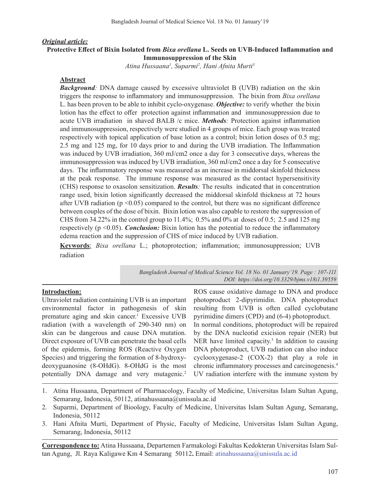### *Original article:*

## **Protective Effect of Bixin Isolated from** *Bixa orellana* **L. Seeds on UVB-Induced Inflammation and Immunosuppression of the Skin**

*Atina Hussaana1 , Suparmi2 , Hani Afnita Murti3*

#### **Abstract**

*Background:* DNA damage caused by excessive ultraviolet B (UVB) radiation on the skin triggers the response to inflammatory and immunosuppression. The bixin from *Bixa orellana*  L. has been proven to be able to inhibit cyclo-oxygenase. *Objective:* to verify whether the bixin lotion has the effect to offer protection against inflammation and immunosuppression due to acute UVB irradiation in shaved BALB /c mice. *Methods:* Protection against inflammation and immunosuppression, respectively were studied in 4 groups of mice. Each group was treated respectively with topical application of base lotion as a control; bixin lotion doses of 0.5 mg; 2.5 mg and 125 mg, for 10 days prior to and during the UVB irradiation. The Inflammation was induced by UVB irradiation, 360 mJ/cm2 once a day for 3 consecutive days, whereas the immunosuppression was induced by UVB irradiation, 360 mJ/cm2 once a day for 5 consecutive days. The inflammatory response was measured as an increase in middorsal skinfold thickness at the peak response. The immune response was measured as the contact hypersensitivity (CHS) response to oxasolon sensitization. *Results:* The results indicated that in concentration range used, bixin lotion significantly decreased the middorsal skinfold thickness at 72 hours after UVB radiation ( $p \le 0.05$ ) compared to the control, but there was no significant difference between couples of the dose of bixin. Bixin lotion was also capable to restore the suppression of CHS from 34.22% in the control group to 11.4%; 0.5% and 0% at doses of 0.5; 2.5 and 125 mg respectively (p <0.05). *Conclusion:* Bixin lotion has the potential to reduce the inflammatory edema reaction and the suppression of CHS of mice induced by UVB radiation.

**Keywords**: *Bixa orellana* L.; photoprotection; inflammation; immunosuppression; UVB radiation

> *Bangladesh Journal of Medical Science Vol. 18 No. 01 January'19. Page : 107-111 DOI: https://doi.org/10.3329/bjms.v18i1.39559*

## **Introduction:**

Ultraviolet radiation containing UVB is an important environmental factor in pathogenesis of skin premature aging and skin cancer.<sup>1</sup> Excessive UVB radiation (with a wavelength of 290-340 nm) on skin can be dangerous and cause DNA mutation. Direct exposure of UVB can penetrate the basal cells of the epidermis, forming ROS (Reactive Oxygen Species) and triggering the formation of 8-hydroxydeoxyguanosine (8-OHdG). 8-OHdG is the most potentially DNA damage and very mutagenic. 2

ROS cause oxidative damage to DNA and produce photoproduct 2-dipyrimidin. DNA photoproduct resulting from UVB is often called cyclobutane pyrimidine dimers (CPD) and (6-4) photoproduct. In normal conditions, photoproduct will be repaired by the DNA nucleotid exicision repair (NER) but NER have limited capacity. <sup>3</sup> In addition to causing DNA photoproduct, UVB radiation can also induce cyclooxygenase-2 (COX-2) that play a role in chronic inflammatory processes and carcinogenesis. 4 UV radiation interfere with the immune system by

- 1. Atina Hussaana, Department of Pharmacology, Faculty of Medicine, Universitas Islam Sultan Agung, Semarang, Indonesia, 50112, atinahussaana@unissula.ac.id
- 2. Suparmi, Department of Bioology, Faculty of Medicine, Universitas Islam Sultan Agung, Semarang, Indonesia, 50112
- 3. Hani Afnita Murti, Department of Physic, Faculty of Medicine, Universitas Islam Sultan Agung, Semarang, Indonesia, 50112

**Correspondence to:** Atina Hussaana, Departemen Farmakologi Fakultas Kedokteran Universitas Islam Sultan Agung, Jl. Raya Kaligawe Km 4 Semarang 50112**.** Email: atinahussaana@unissula.ac.id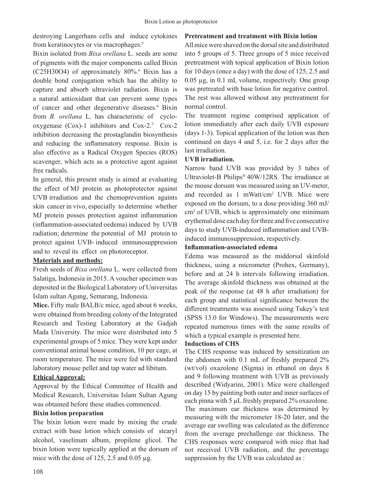destroying Langerhans cells and induce cytokines from keratinocytes or via macrophages.<sup>5</sup>

Bixin isolated from *Bixa orellana* L. seeds are some of pigments with the major components called Bixin (C25H30O4) of approximately 80%.6 Bixin has a double bond conjugation which has the ability to capture and absorb ultraviolet radiation. Bixin is a natural antioxidant that can prevent some types of cancer and other degenerative diseases. <sup>6</sup> Bixin from *B. orellana* L. has characteristic of cyclooxygenase (Cox)-1 inhibitors and Cox-2.<sup>7</sup> Cox-2 inhibition decreasing the prostaglandin biosynthesis and reducing the inflammatory response. Bixin is also effective as a Radical Oxygen Species (ROS) scavenger, which acts as a protective agent against free radicals.

In general, this present study is aimed at evaluating the effect of MJ protein as photoprotector against UVB irradiation and the chemoprevention againts skin cancer in vivo, especially to determine whether MJ protein posses protection against inflammation (inflammation-associated oedema) induced by UVB radiation; determine the potential of MJ protein to protect against UVB- induced immunosuppression and to reveal its effect on photoreceptor.

# **Materials and methods:**

Fresh seeds of *Bixa orellana* L. were collected from Salatiga, Indonesia in 2015. A voucher specimen was deposited in the Biological Laboratory of Universitas Islam sultan Agung, Semarang, Indonesia.

**Mice.** Fifty male BALB/c mice, aged about 6 weeks, were obtained from breeding colony of the Integrated Research and Testing Laboratory at the Gadjah Mada University. The mice were distributed into 5 experimental groups of 5 mice. They were kept under conventional animal house condition, 10 per cage, at room temperature. The mice were fed with standard laboratory mouse pellet and tap water ad libitum.

# **Ethical Approval:**

Approval by the Ethical Committee of Health and Medical Research, Universitas Islam Sultan Agung was obtained before these studies commenced.

# **Bixin lotion preparation**

The bixin lotion were made by mixing the crude extract with base lotion which consists of stearyl alcohol, vaselinum album, propilene glicol. The bixin lotion were topically applied at the dorsum of mice with the dose of  $125$ ,  $2.5$  and  $0.05 \mu$ g.

## **Pretreatment and treatment with Bixin lotion**

Allmice were shaved on the dorsalsite and distributed into 5 groups of 5. Three groups of 5 mice received pretreatment with topical application of Bixin lotion for 10 days (once a day) with the dose of 125, 2.5 and 0.05 µg, in 0.1 mL volume, respectively. One group was pretreated with base lotion for negative control. The rest was allowed without any pretreatment for normal control.

The treatment regime comprised application of lotion immediately after each daily UVB exposure (days 1-3). Topical application of the lotion was then continued on days 4 and 5, i.e. for 2 days after the last irradiation.

# **UVB irradiation.**

Narrow band UVB was provided by 3 tubes of Ultraviolet-B Philips® 40W/12RS. The irradiance at the mouse dorsum was measured using an UV-meter, and recorded as 1 mWatt/cm2 UVB. Mice were exposed on the dorsum, to a dose providing 360 mJ/ cm<sup>2</sup> of UVB, which is approximately one minimum erythemal dose each day forthree and five consecutive days to study UVB-induced inflammation and UVBinduced immunosuppression, respectively.

## **Inflammation-associated edema**

Edema was measured as the middorsal skinfold thickness, using a micrometer (Prohex, Germany), before and at 24 h intervals following irradiation. The average skinfold thickness was obtained at the peak of the response (at 48 h after irradiation) for each group and statistical significance between the different treatments was assessed using Tukey's test (SPSS 13.0 for Windows). The measurements were repeated numerous times with the same results of which a typical example is presented here.

## **Inductions of CHS**

The CHS response was induced by sensitization on the abdomen with 0.1 mL of freshly prepared 2% (wt/vol) oxazolone (Sigma) in ethanol on days 8 and 9 following treatment with UVB as previously described (Widyarini, 2001). Mice were challenged on day 15 by painting both outer and inner surfaces of each pinna with 5 µL freshly prepared 2% oxazolone. The maximum ear thickness was determined by measuring with the micrometer 18-20 later, and the average ear swelling was calculated as the difference from the average prechallenge ear thickness. The CHS responses were compared with mice that had not received UVB radiation, and the percentage suppression by the UVB was calculated as :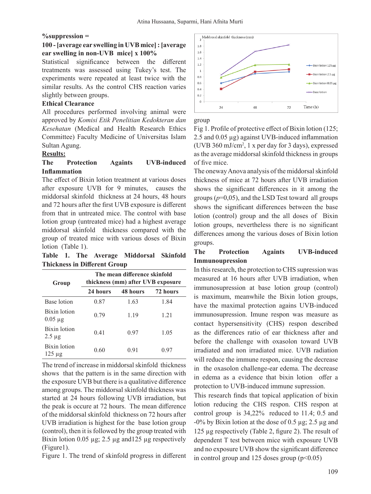#### **%suppression =**

## **100 - [average ear swelling in UVB mice] : [average ear swelling in non-UVB mice] x 100%**

Statistical significance between the different treatments was assessed using Tukey's test. The experiments were repeated at least twice with the similar results. As the control CHS reaction varies slightly between groups.

### **Ethical Clearance**

All procedures performed involving animal were approved by *Komisi Etik Penelitian Kedokteran dan Kesehatan* (Medical and Health Research Ethics Committee) Faculty Medicine of Universitas Islam Sultan Agung.

## **Results:**

## **The Protection Againts UVB-induced Inflammation**

The effect of Bixin lotion treatment at various doses after exposure UVB for 9 minutes, causes the middorsal skinfold thickness at 24 hours, 48 hours and 72 hours after the first UVB exposure is different from that in untreated mice. The control with base lotion group (untreated mice) had a highest average middorsal skinfold thickness compared with the group of treated mice with various doses of Bixin lotion (Table 1).

**Table 1. The Average Middorsal Skinfold Thickness in Different Group**

| Group                        | The mean difference skinfold<br>thickness (mm) after UVB exposure |          |          |
|------------------------------|-------------------------------------------------------------------|----------|----------|
|                              | 24 hours                                                          | 48 hours | 72 hours |
| Base lotion                  | 0.87                                                              | 1.63     | 1.84     |
| Bixin lotion<br>$0.05 \mu g$ | 0.79                                                              | 1.19     | 1.21     |
| Bixin lotion<br>$2.5 \mu$ g  | 0.41                                                              | 0.97     | 1.05     |
| Bixin lotion<br>$125 \mu$ g  | 0.60                                                              | 0.91     | 0.97     |

The trend of increase in middorsal skinfold thickness shows that the pattern is in the same direction with the exposure UVB but there is a qualitative difference among groups. The middorsal skinfold thickness was started at 24 hours following UVB irradiation, but the peak is occure at 72 hours. The mean difference of the middorsal skinfold thickness on 72 hours after UVB irradiation is highest for the base lotion group (control), then it is followed by the group treated with Bixin lotion  $0.05 \mu g$ ; 2.5  $\mu g$  and 125  $\mu g$  respectively (Figure1).

Figure 1. The trend of skinfold progress in different



group

Fig 1. Profile of protective effect of Bixin lotion (125; 2.5 and 0.05 µg) against UVB-induced inflammation (UVB 360 mJ/cm2 , 1 x per day for 3 days), expressed as the average middorsal skinfold thickness in groups of five mice.

The oneway Anova analysis of the middorsal skinfold thickness of mice at 72 hours after UVB irradiation shows the significant differences in it among the groups  $(p=0,05)$ , and the LSD Test toward all groups shows the significant differences between the base lotion (control) group and the all doses of Bixin lotion groups, nevertheless there is no significant differences among the various doses of Bixin lotion groups.

## **The Protection Againts UVB-induced Immunoupression**

In thisresearch, the protection to CHS supression was measured at 16 hours after UVB irradiation, when immunosupression at base lotion group (control) is maximum, meanwhile the Bixin lotion groups, have the maximal protection agains UVB-induced immunosupression. Imune respon was measure as contact hypersensitivity (CHS) respon described as the differences ratio of ear thickness after and before the challenge with oxasolon toward UVB irradiated and non irradiated mice. UVB radiation will reduce the immune respon, causing the decrease in the oxasolon challenge-ear edema. The decrease in edema as a evidence that bixin lotion offer a protection to UVB-induced immune supression.

This research finds that topical application of bixin lotion reducing the CHS respon. CHS respon at control group is 34,22% reduced to 11.4; 0.5 and  $-0\%$  by Bixin lotion at the dose of 0.5  $\mu$ g; 2.5  $\mu$ g and 125 µg respectively (Table 2, figure 2). The result of dependent T test between mice with exposure UVB and no exposure UVB show the significant difference in control group and 125 doses group  $(p<0.05)$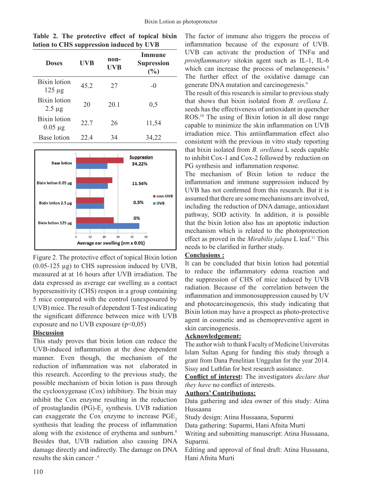| <b>Doses</b>                       | <b>UVB</b> | non-<br><b>UVB</b> | Immune<br><b>Supression</b><br>$(\%)$ |
|------------------------------------|------------|--------------------|---------------------------------------|
| <b>Bixin</b> lotion<br>$125 \mu g$ | 45.2       | 27                 | $-$ ()                                |
| Bixin lotion<br>$2.5 \mu g$        | 20         | 20.1               | 0,5                                   |
| Bixin lotion<br>$0.05 \mu g$       | 22.7       | 26                 | 11,54                                 |
| Base lotion                        | 22.4       | 34                 | 34,22                                 |

**Table 2. The protective effect of topical bixin lotion to CHS suppression induced by UVB** 



Figure 2. The protective effect of topical Bixin lotion  $(0.05-125 \mu g)$  to CHS supression induced by UVB, measured at at 16 hours after UVB irradiation. The data expressed as average ear swelling as a contact hypersensitivity (CHS) respon in a group containing 5 mice compared with the control (unexposured by UVB) mice. The result of dependent T-Test indicating the significant difference between mice with UVB exposure and no UVB exposure  $(p<0.05)$ 

# **Discussion**

This study proves that bixin lotion can reduce the UVB-induced inflammation at the dose dependent manner. Even though, the mechanism of the reduction of inflammation was not elaborated in this research. According to the previous study, the possible mechanism of bixin lotion is pass through the cyclooxygenase (Cox) inhibitory. The bixin may inhibit the Cox enzyme resulting in the reduction of prostaglandin (PG)- $E_2$  synthesis. UVB radiation can exaggerate the Cox enzyme to increase PGE<sub>2</sub> synthesis that leading the process of inflammation along with the existence of erythema and sunburn.<sup>8</sup> Besides that, UVB radiation also causing DNA damage directly and indirectly. The damage on DNA results the skin cancer . 4

The factor of immune also triggers the process of inflammation because of the exposure of UVB. UVB can activate the production of TNFα and *proinflammatory* sitokin agent such as IL-1, IL-6 which can increase the process of melanogenesis.<sup>8</sup> The further effect of the oxidative damage can generate DNA mutation and carcinogenesis.9

The result of this research is similar to previous study that shows that bixin isolated from *B. orellana L.* seeds has the effectiveness of antioxidant in quencher ROS.<sup>10</sup> The using of Bixin lotion in all dose range capable to minimize the skin inflammation on UVB irradiation mice. This antiinflammation effect also consistent with the previous in vitro study reporting that bixin isolated from *B. orellana* L seeds capable to inhibit Cox-1 and Cox-2 followed by reduction on PG synthesis and inflammation response.

The mechanism of Bixin lotion to reduce the inflammation and immune suppression induced by UVB has not confirmed from this research. But it is assumed that there are some mechanisms are involved, including the reduction of DNA damage, antioxidant pathway, SOD activity. In addition, it is possible that the bixin lotion also has an apoptotic induction mechanism which is related to the photoprotection effect as proved in the *Mirabilis jalapa* L leaf.<sup>11</sup> This needs to be clarified in further study. 

# **Conclusions :**

It can be concluded that bixin lotion had potential to reduce the inflammatory edema reaction and the suppression of CHS of mice induced by UVB radiation. Because of the correlation between the inflammation and immonosuppression caused by UV and photocarcinogenesis, this study indicating that Bixin lotion may have a prospect as photo-protective agent in cosmetic and as chemopreventive agent in skin carcinogenesis.

# **Acknowledgement:**

The author wish to thank Faculty of Medicine Universitas Islam Sultan Agung for funding this study through a grant from Dana Penelitian Unggulan for the year 2014. Sissy and Luthfan for best research assistance.

**Conflict of interest:** The investigators *declare that they have* no conflict of interests.

# **Authors' Contributions:**

Data gathering and idea owner of this study: Atina Hussaana

Study design: Atina Hussaana, Suparmi

Data gathering: Suparmi, Hani Afnita Murti

Writing and submitting manuscript: Atina Hussaana, Suparmi.

Editing and approval of final draft: Atina Hussaana, Hani Afnita Murti